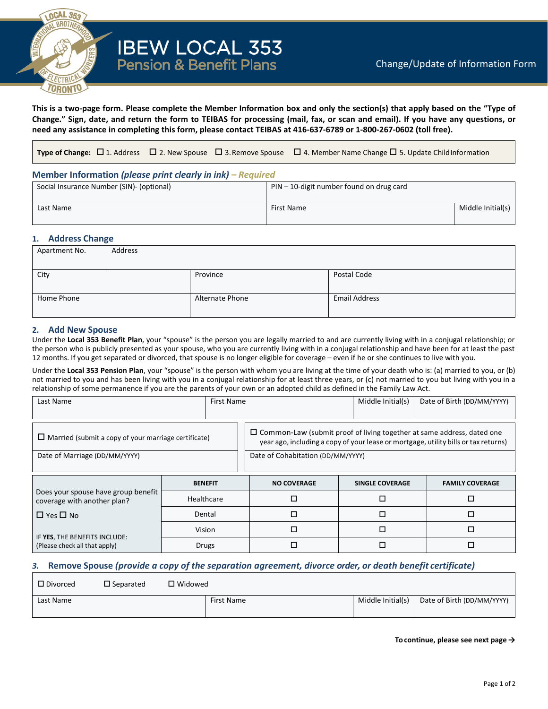

# **IBEW LOCAL 353**<br>Pension & Benefit Plans

**This is a two-page form. Please complete the Member Information box and only the section(s) that apply based on the "Type of Change." Sign, date, and return the form to TEIBAS for processing (mail, fax, or scan and email). If you have any questions, or need any assistance in completing this form, please contact TEIBAS at 416-637-6789 or 1-800-267-0602 (toll free).**

**Type of Change:** □ 1. Address □ 2. New Spouse □ 3. Remove Spouse □ 4. Member Name Change □ 5. Update ChildInformation

# **Member Information** *(please print clearly in ink) – Required*

| Social Insurance Number (SIN)- (optional) | $PIN - 10$ -digit number found on drug card |                   |  |  |
|-------------------------------------------|---------------------------------------------|-------------------|--|--|
| Last Name                                 | First Name                                  | Middle Initial(s) |  |  |

#### **1. Address Change**

| Apartment No. | Address |                 |                      |  |  |  |
|---------------|---------|-----------------|----------------------|--|--|--|
|               |         |                 |                      |  |  |  |
| City          |         | Province        | Postal Code          |  |  |  |
|               |         |                 |                      |  |  |  |
| Home Phone    |         | Alternate Phone | <b>Email Address</b> |  |  |  |
|               |         |                 |                      |  |  |  |

## **2. Add New Spouse**

Under the **Local 353 Benefit Plan**, your "spouse" is the person you are legally married to and are currently living with in a conjugal relationship; or the person who is publicly presented as your spouse, who you are currently living with in a conjugal relationship and have been for at least the past 12 months. If you get separated or divorced, that spouse is no longer eligible for coverage – even if he or she continues to live with you.

Under the **Local 353 Pension Plan**, your "spouse" is the person with whom you are living at the time of your death who is: (a) married to you, or (b) not married to you and has been living with you in a conjugal relationship for at least three years, or (c) not married to you but living with you in a relationship of some permanence if you are the parents of your own or an adopted child as defined in the Family Law Act.

| Last Name                                                          | First Name     |                                                                                                                                                                      | Middle Initial(s)      | Date of Birth (DD/MM/YYYY) |  |
|--------------------------------------------------------------------|----------------|----------------------------------------------------------------------------------------------------------------------------------------------------------------------|------------------------|----------------------------|--|
| $\Box$ Married (submit a copy of your marriage certificate)        |                | $\Box$ Common-Law (submit proof of living together at same address, dated one<br>year ago, including a copy of your lease or mortgage, utility bills or tax returns) |                        |                            |  |
| Date of Marriage (DD/MM/YYYY)                                      |                | Date of Cohabitation (DD/MM/YYYY)                                                                                                                                    |                        |                            |  |
|                                                                    | <b>BENEFIT</b> | <b>NO COVERAGE</b>                                                                                                                                                   | <b>SINGLE COVERAGE</b> | <b>FAMILY COVERAGE</b>     |  |
| Does your spouse have group benefit<br>coverage with another plan? | Healthcare     | □                                                                                                                                                                    | □                      |                            |  |
|                                                                    |                |                                                                                                                                                                      |                        | П                          |  |
| $\Box$ Yes $\Box$ No                                               | Dental         | $\Box$                                                                                                                                                               | □                      | П                          |  |
| IF YES, THE BENEFITS INCLUDE:                                      | Vision         | □                                                                                                                                                                    | □                      | □                          |  |

## *3.* **Remove Spouse** *(provide a copy of the separation agreement, divorce order, or death benefit certificate)*

| $\Box$ Divorced | $\square$ Separated | $\square$ Widowed |            |                   |                            |
|-----------------|---------------------|-------------------|------------|-------------------|----------------------------|
| Last Name       |                     |                   | First Name | Middle Initial(s) | Date of Birth (DD/MM/YYYY) |

**To continue, please see next page →**